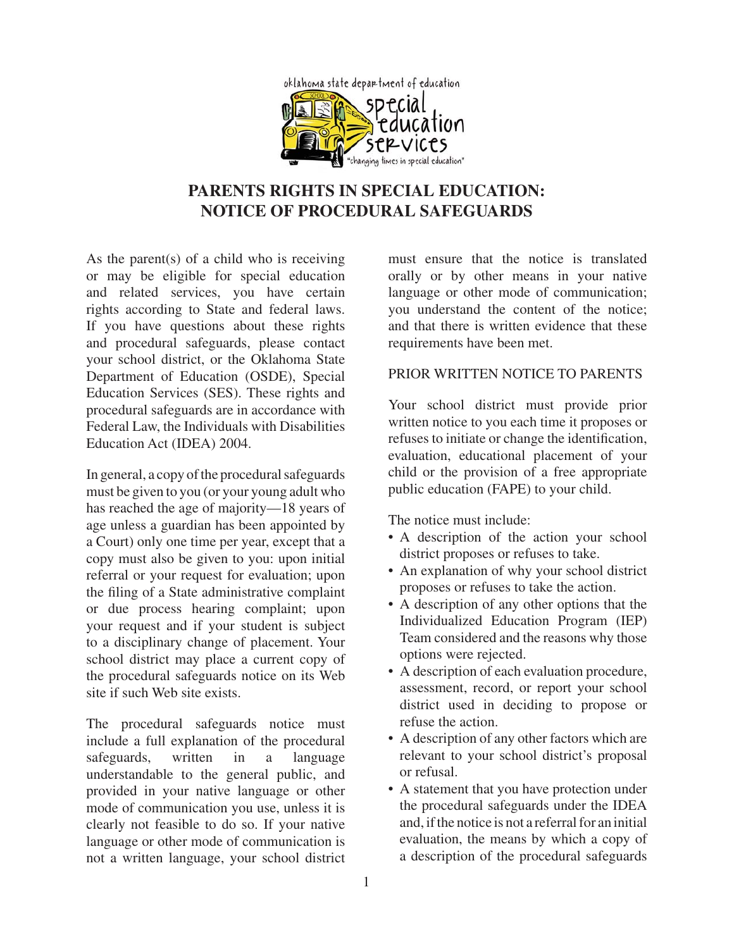

# **PARENTS RIGHTS IN SPECIAL EDUCATION: NOTICE OF PROCEDURAL SAFEGUARDS**

As the parent(s) of a child who is receiving or may be eligible for special education and related services, you have certain rights according to State and federal laws. If you have questions about these rights and procedural safeguards, please contact your school district, or the Oklahoma State Department of Education (OSDE), Special Education Services (SES). These rights and procedural safeguards are in accordance with Federal Law, the Individuals with Disabilities Education Act (IDEA) 2004.

In general, a copy of the procedural safeguards must be given to you (or your young adult who has reached the age of majority—18 years of age unless a guardian has been appointed by a Court) only one time per year, except that a copy must also be given to you: upon initial referral or your request for evaluation; upon the filing of a State administrative complaint or due process hearing complaint; upon your request and if your student is subject to a disciplinary change of placement. Your school district may place a current copy of the procedural safeguards notice on its Web site if such Web site exists.

The procedural safeguards notice must include a full explanation of the procedural safeguards, written in a language understandable to the general public, and provided in your native language or other mode of communication you use, unless it is clearly not feasible to do so. If your native language or other mode of communication is not a written language, your school district

must ensure that the notice is translated orally or by other means in your native language or other mode of communication; you understand the content of the notice; and that there is written evidence that these requirements have been met.

### PRIOR WRITTEN NOTICE TO PARENTS

Your school district must provide prior written notice to you each time it proposes or refuses to initiate or change the identification, evaluation, educational placement of your child or the provision of a free appropriate public education (FAPE) to your child.

The notice must include:

- A description of the action your school district proposes or refuses to take.
- An explanation of why your school district proposes or refuses to take the action.
- A description of any other options that the Individualized Education Program (IEP) Team considered and the reasons why those options were rejected.
- A description of each evaluation procedure, assessment, record, or report your school district used in deciding to propose or refuse the action.
- A description of any other factors which are relevant to your school district's proposal or refusal.
- A statement that you have protection under the procedural safeguards under the IDEA and, if the notice is not a referral for an initial evaluation, the means by which a copy of a description of the procedural safeguards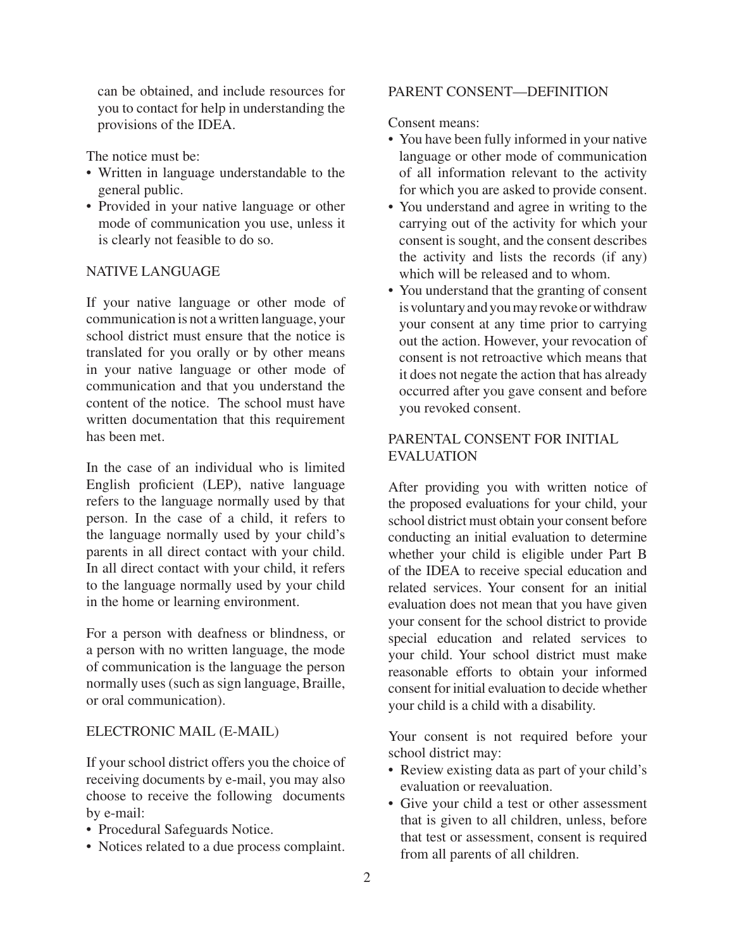can be obtained, and include resources for you to contact for help in understanding the provisions of the IDEA.

The notice must be:

- Written in language understandable to the general public.
- Provided in your native language or other mode of communication you use, unless it is clearly not feasible to do so.

### NATIVE LANGUAGE

If your native language or other mode of communication is not a written language, your school district must ensure that the notice is translated for you orally or by other means in your native language or other mode of communication and that you understand the content of the notice. The school must have written documentation that this requirement has been met.

In the case of an individual who is limited English proficient (LEP), native language refers to the language normally used by that person. In the case of a child, it refers to the language normally used by your child's parents in all direct contact with your child. In all direct contact with your child, it refers to the language normally used by your child in the home or learning environment.

For a person with deafness or blindness, or a person with no written language, the mode of communication is the language the person normally uses (such as sign language, Braille, or oral communication).

#### ELECTRONIC MAIL (E-MAIL)

If your school district offers you the choice of receiving documents by e-mail, you may also choose to receive the following documents by e-mail:

- Procedural Safeguards Notice.
- Notices related to a due process complaint.

#### PARENT CONSENT—DEFINITION

Consent means:

- You have been fully informed in your native language or other mode of communication of all information relevant to the activity for which you are asked to provide consent.
- You understand and agree in writing to the carrying out of the activity for which your consent is sought, and the consent describes the activity and lists the records (if any) which will be released and to whom.
- You understand that the granting of consent is voluntary and you may revoke or withdraw your consent at any time prior to carrying out the action. However, your revocation of consent is not retroactive which means that it does not negate the action that has already occurred after you gave consent and before you revoked consent.

## PARENTAL CONSENT FOR INITIAL EVALUATION

After providing you with written notice of the proposed evaluations for your child, your school district must obtain your consent before conducting an initial evaluation to determine whether your child is eligible under Part B of the IDEA to receive special education and related services. Your consent for an initial evaluation does not mean that you have given your consent for the school district to provide special education and related services to your child. Your school district must make reasonable efforts to obtain your informed consent for initial evaluation to decide whether your child is a child with a disability.

Your consent is not required before your school district may:

- Review existing data as part of your child's evaluation or reevaluation.
- Give your child a test or other assessment that is given to all children, unless, before that test or assessment, consent is required from all parents of all children.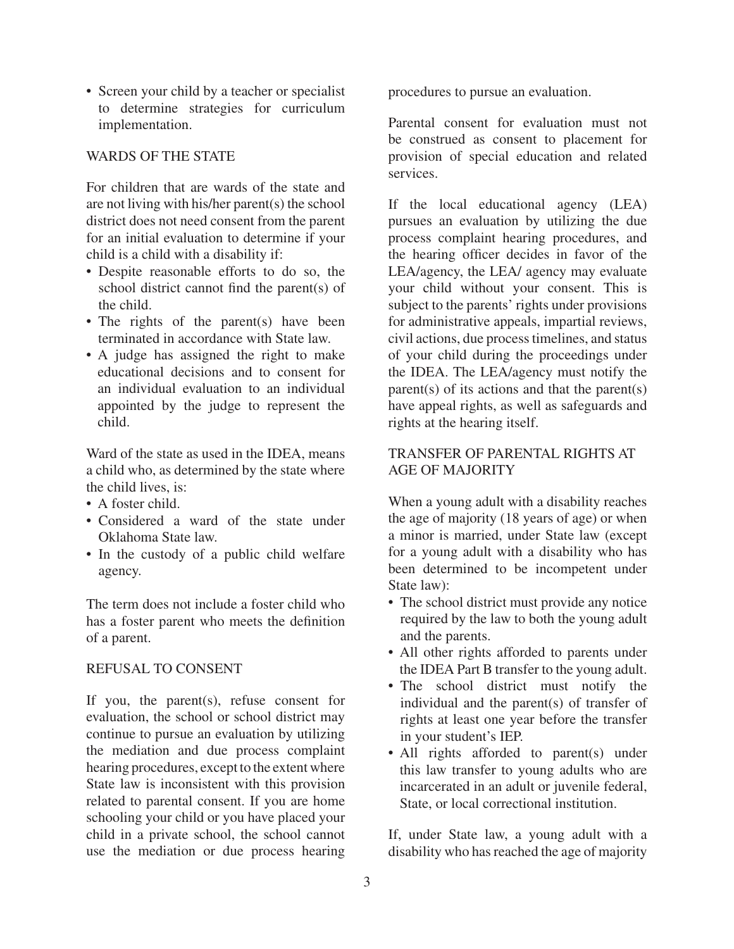• Screen your child by a teacher or specialist to determine strategies for curriculum implementation.

#### WARDS OF THE STATE

For children that are wards of the state and are not living with his/her parent(s) the school district does not need consent from the parent for an initial evaluation to determine if your child is a child with a disability if:

- Despite reasonable efforts to do so, the school district cannot find the parent(s) of the child.
- The rights of the parent(s) have been terminated in accordance with State law.
- A judge has assigned the right to make educational decisions and to consent for an individual evaluation to an individual appointed by the judge to represent the child.

Ward of the state as used in the IDEA, means a child who, as determined by the state where the child lives, is:

- $\bullet$  A foster child
- Considered a ward of the state under Oklahoma State law.
- In the custody of a public child welfare agency.

The term does not include a foster child who has a foster parent who meets the definition of a parent.

#### REFUSAL TO CONSENT

If you, the parent(s), refuse consent for evaluation, the school or school district may continue to pursue an evaluation by utilizing the mediation and due process complaint hearing procedures, except to the extent where State law is inconsistent with this provision related to parental consent. If you are home schooling your child or you have placed your child in a private school, the school cannot use the mediation or due process hearing

procedures to pursue an evaluation.

Parental consent for evaluation must not be construed as consent to placement for provision of special education and related services.

If the local educational agency (LEA) pursues an evaluation by utilizing the due process complaint hearing procedures, and the hearing officer decides in favor of the LEA/agency, the LEA/ agency may evaluate your child without your consent. This is subject to the parents' rights under provisions for administrative appeals, impartial reviews, civil actions, due process timelines, and status of your child during the proceedings under the IDEA. The LEA/agency must notify the parent(s) of its actions and that the parent(s) have appeal rights, as well as safeguards and rights at the hearing itself.

### TRANSFER OF PARENTAL RIGHTS AT AGE OF MAJORITY

When a young adult with a disability reaches the age of majority (18 years of age) or when a minor is married, under State law (except for a young adult with a disability who has been determined to be incompetent under State law):

- The school district must provide any notice required by the law to both the young adult and the parents.
- All other rights afforded to parents under the IDEA Part B transfer to the young adult.
- The school district must notify the individual and the parent(s) of transfer of rights at least one year before the transfer in your student's IEP.
- All rights afforded to parent(s) under this law transfer to young adults who are incarcerated in an adult or juvenile federal, State, or local correctional institution.

If, under State law, a young adult with a disability who has reached the age of majority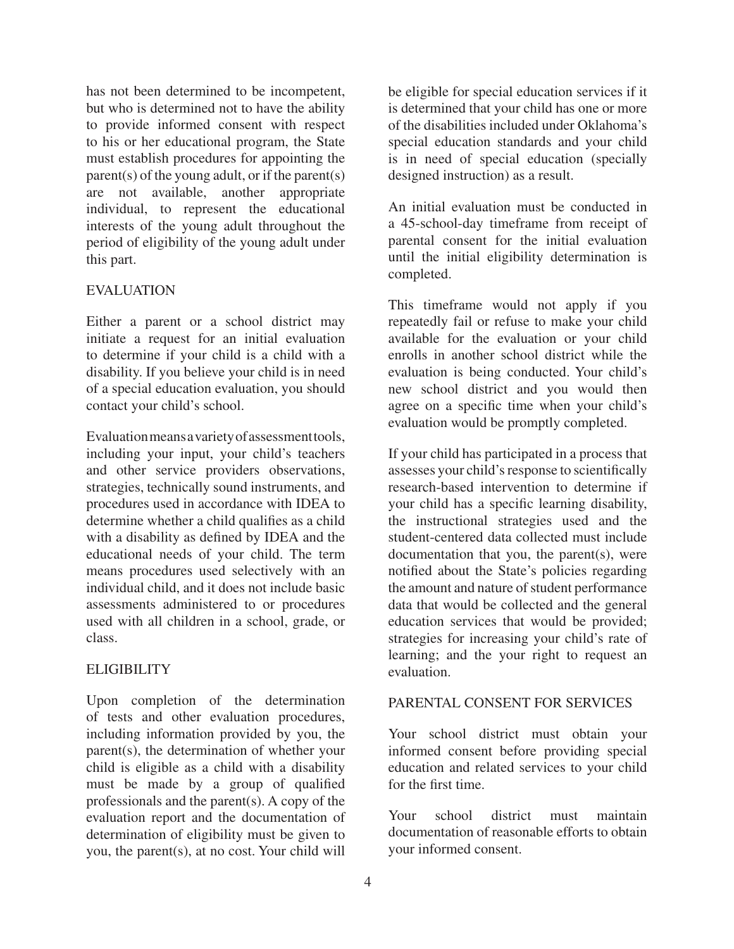has not been determined to be incompetent, but who is determined not to have the ability to provide informed consent with respect to his or her educational program, the State must establish procedures for appointing the parent(s) of the young adult, or if the parent(s) are not available, another appropriate individual, to represent the educational interests of the young adult throughout the period of eligibility of the young adult under this part.

### EVALUATION

Either a parent or a school district may initiate a request for an initial evaluation to determine if your child is a child with a disability. If you believe your child is in need of a special education evaluation, you should contact your child's school.

Evaluation means a variety of assessment tools, including your input, your child's teachers and other service providers observations, strategies, technically sound instruments, and procedures used in accordance with IDEA to determine whether a child qualifies as a child with a disability as defined by IDEA and the educational needs of your child. The term means procedures used selectively with an individual child, and it does not include basic assessments administered to or procedures used with all children in a school, grade, or class.

#### **ELIGIBILITY**

Upon completion of the determination of tests and other evaluation procedures, including information provided by you, the parent(s), the determination of whether your child is eligible as a child with a disability must be made by a group of qualified professionals and the parent(s). A copy of the evaluation report and the documentation of determination of eligibility must be given to you, the parent(s), at no cost. Your child will

be eligible for special education services if it is determined that your child has one or more of the disabilities included under Oklahoma's special education standards and your child is in need of special education (specially designed instruction) as a result.

An initial evaluation must be conducted in a 45-school-day timeframe from receipt of parental consent for the initial evaluation until the initial eligibility determination is completed.

This timeframe would not apply if you repeatedly fail or refuse to make your child available for the evaluation or your child enrolls in another school district while the evaluation is being conducted. Your child's new school district and you would then agree on a specific time when your child's evaluation would be promptly completed.

If your child has participated in a process that assesses your child's response to scientifically research-based intervention to determine if your child has a specific learning disability, the instructional strategies used and the student-centered data collected must include documentation that you, the parent(s), were notified about the State's policies regarding the amount and nature of student performance data that would be collected and the general education services that would be provided; strategies for increasing your child's rate of learning; and the your right to request an evaluation.

#### PARENTAL CONSENT FOR SERVICES

Your school district must obtain your informed consent before providing special education and related services to your child for the first time.

Your school district must maintain documentation of reasonable efforts to obtain your informed consent.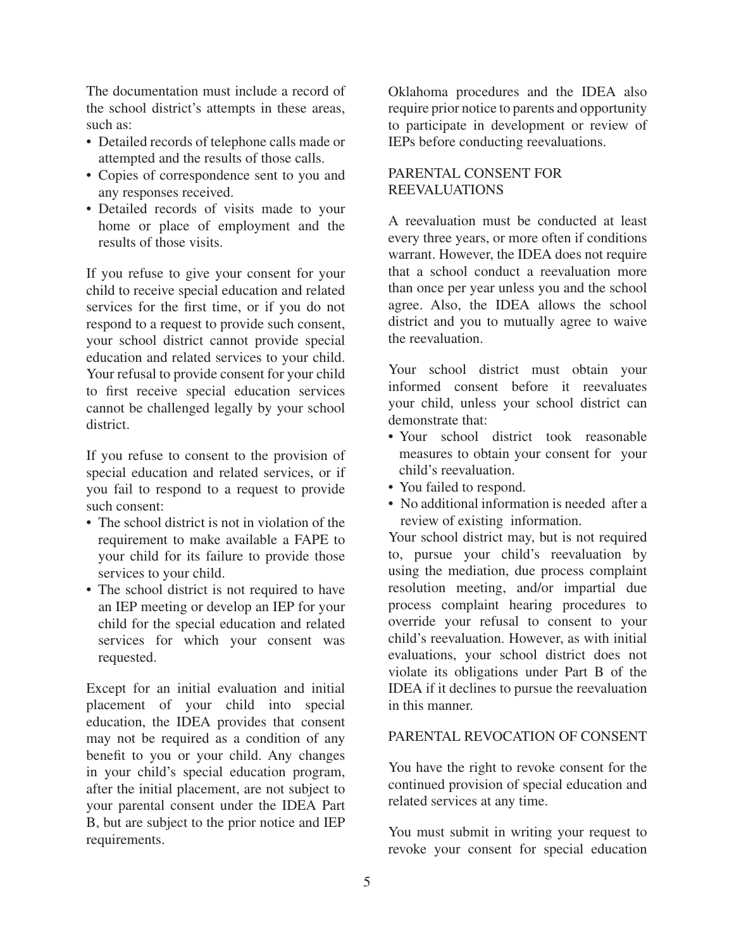The documentation must include a record of the school district's attempts in these areas, such as:

- Detailed records of telephone calls made or attempted and the results of those calls.
- Copies of correspondence sent to you and any responses received.
- Detailed records of visits made to your home or place of employment and the results of those visits.

If you refuse to give your consent for your child to receive special education and related services for the first time, or if you do not respond to a request to provide such consent, your school district cannot provide special education and related services to your child. Your refusal to provide consent for your child to first receive special education services cannot be challenged legally by your school district.

If you refuse to consent to the provision of special education and related services, or if you fail to respond to a request to provide such consent:

- The school district is not in violation of the requirement to make available a FAPE to your child for its failure to provide those services to your child.
- The school district is not required to have an IEP meeting or develop an IEP for your child for the special education and related services for which your consent was requested.

Except for an initial evaluation and initial placement of your child into special education, the IDEA provides that consent may not be required as a condition of any benefit to you or your child. Any changes in your child's special education program, after the initial placement, are not subject to your parental consent under the IDEA Part B, but are subject to the prior notice and IEP requirements.

Oklahoma procedures and the IDEA also require prior notice to parents and opportunity to participate in development or review of IEPs before conducting reevaluations.

# PARENTAL CONSENT FOR REEVALUATIONS

A reevaluation must be conducted at least every three years, or more often if conditions warrant. However, the IDEA does not require that a school conduct a reevaluation more than once per year unless you and the school agree. Also, the IDEA allows the school district and you to mutually agree to waive the reevaluation.

Your school district must obtain your informed consent before it reevaluates your child, unless your school district can demonstrate that:

- Your school district took reasonable measures to obtain your consent for your child's reevaluation.
- You failed to respond.
- No additional information is needed after a review of existing information.

Your school district may, but is not required to, pursue your child's reevaluation by using the mediation, due process complaint resolution meeting, and/or impartial due process complaint hearing procedures to override your refusal to consent to your child's reevaluation. However, as with initial evaluations, your school district does not violate its obligations under Part B of the IDEA if it declines to pursue the reevaluation in this manner.

#### PARENTAL REVOCATION OF CONSENT

You have the right to revoke consent for the continued provision of special education and related services at any time.

You must submit in writing your request to revoke your consent for special education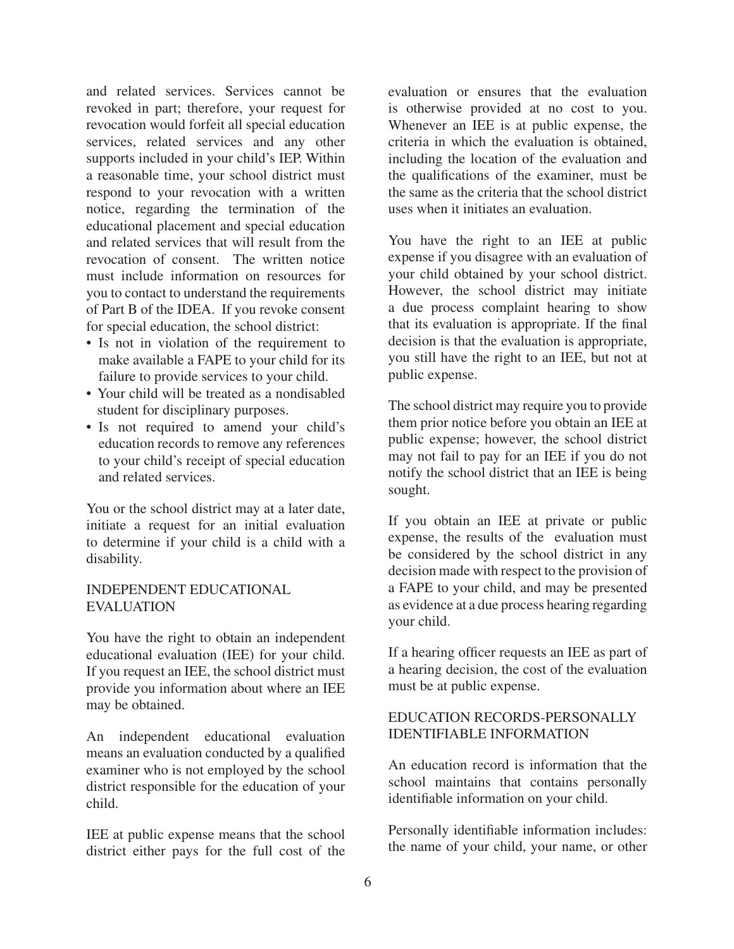and related services. Services cannot be revoked in part; therefore, your request for revocation would forfeit all special education services, related services and any other supports included in your child's IEP. Within a reasonable time, your school district must respond to your revocation with a written notice, regarding the termination of the educational placement and special education and related services that will result from the revocation of consent. The written notice must include information on resources for you to contact to understand the requirements of Part B of the IDEA. If you revoke consent for special education, the school district:

- Is not in violation of the requirement to make available a FAPE to your child for its failure to provide services to your child.
- Your child will be treated as a nondisabled student for disciplinary purposes.
- Is not required to amend your child's education records to remove any references to your child's receipt of special education and related services.

You or the school district may at a later date, initiate a request for an initial evaluation to determine if your child is a child with a disability.

#### INDEPENDENT EDUCATIONAL EVALUATION

You have the right to obtain an independent educational evaluation (IEE) for your child. If you request an IEE, the school district must provide you information about where an IEE may be obtained.

An independent educational evaluation means an evaluation conducted by a qualified examiner who is not employed by the school district responsible for the education of your child.

IEE at public expense means that the school district either pays for the full cost of the evaluation or ensures that the evaluation is otherwise provided at no cost to you. Whenever an IEE is at public expense, the criteria in which the evaluation is obtained, including the location of the evaluation and the qualifications of the examiner, must be the same as the criteria that the school district uses when it initiates an evaluation.

You have the right to an IEE at public expense if you disagree with an evaluation of your child obtained by your school district. However, the school district may initiate a due process complaint hearing to show that its evaluation is appropriate. If the final decision is that the evaluation is appropriate, you still have the right to an IEE, but not at public expense.

The school district may require you to provide them prior notice before you obtain an IEE at public expense; however, the school district may not fail to pay for an IEE if you do not notify the school district that an IEE is being sought.

If you obtain an IEE at private or public expense, the results of the evaluation must be considered by the school district in any decision made with respect to the provision of a FAPE to your child, and may be presented as evidence at a due process hearing regarding your child.

If a hearing officer requests an IEE as part of a hearing decision, the cost of the evaluation must be at public expense.

# EDUCATION RECORDS-PERSONALLY IDENTIFIABLE INFORMATION

An education record is information that the school maintains that contains personally identifiable information on your child.

Personally identifiable information includes: the name of your child, your name, or other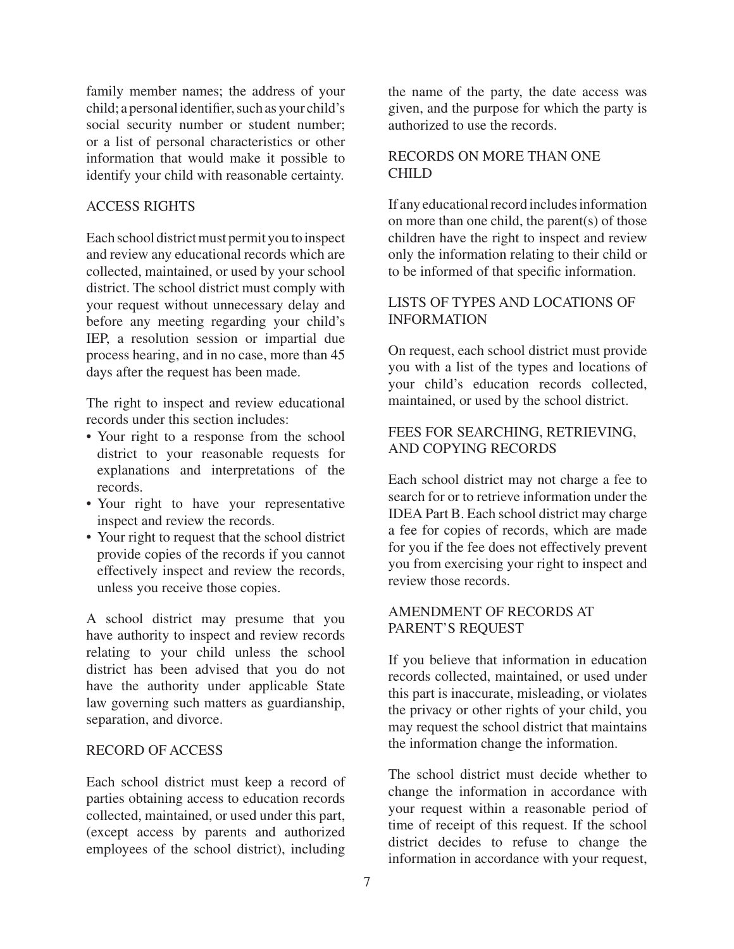family member names; the address of your child; a personal identifier, such as your child's social security number or student number; or a list of personal characteristics or other information that would make it possible to identify your child with reasonable certainty.

#### ACCESS RIGHTS

Each school district must permit you to inspect and review any educational records which are collected, maintained, or used by your school district. The school district must comply with your request without unnecessary delay and before any meeting regarding your child's IEP, a resolution session or impartial due process hearing, and in no case, more than 45 days after the request has been made.

The right to inspect and review educational records under this section includes:

- Your right to a response from the school district to your reasonable requests for explanations and interpretations of the records.
- Your right to have your representative inspect and review the records.
- Your right to request that the school district provide copies of the records if you cannot effectively inspect and review the records, unless you receive those copies.

A school district may presume that you have authority to inspect and review records relating to your child unless the school district has been advised that you do not have the authority under applicable State law governing such matters as guardianship, separation, and divorce.

#### RECORD OF ACCESS

Each school district must keep a record of parties obtaining access to education records collected, maintained, or used under this part, (except access by parents and authorized employees of the school district), including

the name of the party, the date access was given, and the purpose for which the party is authorized to use the records.

#### RECORDS ON MORE THAN ONE CHILD

If any educational record includes information on more than one child, the parent(s) of those children have the right to inspect and review only the information relating to their child or to be informed of that specific information.

### LISTS OF TYPES AND LOCATIONS OF INFORMATION

On request, each school district must provide you with a list of the types and locations of your child's education records collected, maintained, or used by the school district.

### FEES FOR SEARCHING, RETRIEVING, AND COPYING RECORDS

Each school district may not charge a fee to search for or to retrieve information under the IDEA Part B. Each school district may charge a fee for copies of records, which are made for you if the fee does not effectively prevent you from exercising your right to inspect and review those records.

### AMENDMENT OF RECORDS AT PARENT'S REQUEST

If you believe that information in education records collected, maintained, or used under this part is inaccurate, misleading, or violates the privacy or other rights of your child, you may request the school district that maintains the information change the information.

The school district must decide whether to change the information in accordance with your request within a reasonable period of time of receipt of this request. If the school district decides to refuse to change the information in accordance with your request,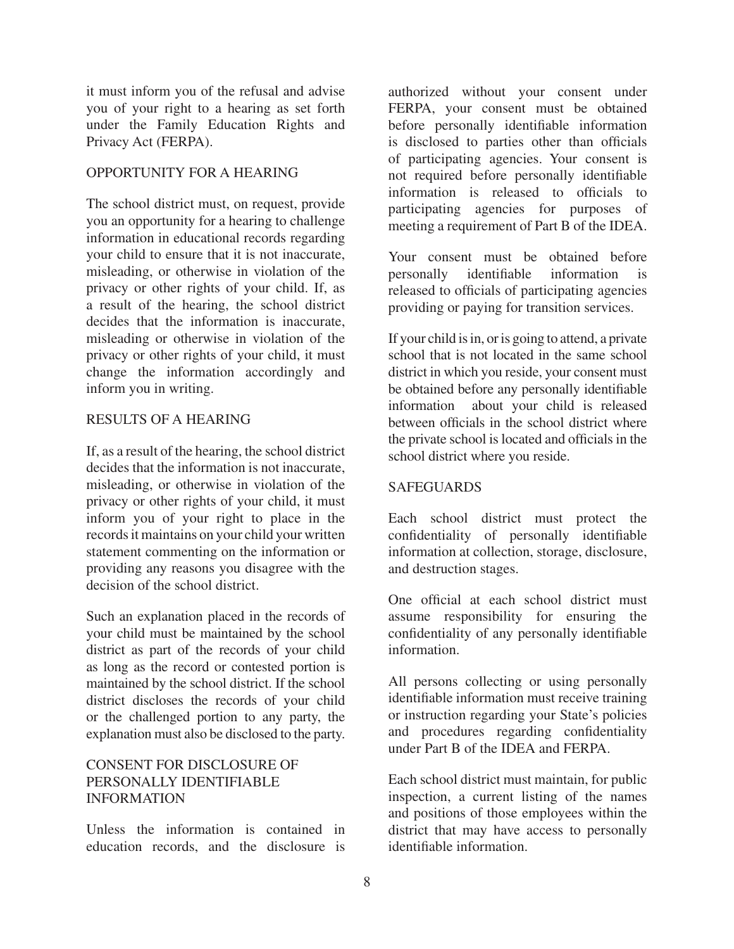it must inform you of the refusal and advise you of your right to a hearing as set forth under the Family Education Rights and Privacy Act (FERPA).

#### OPPORTUNITY FOR A HEARING

The school district must, on request, provide you an opportunity for a hearing to challenge information in educational records regarding your child to ensure that it is not inaccurate, misleading, or otherwise in violation of the privacy or other rights of your child. If, as a result of the hearing, the school district decides that the information is inaccurate, misleading or otherwise in violation of the privacy or other rights of your child, it must change the information accordingly and inform you in writing.

#### RESULTS OF A HEARING

If, as a result of the hearing, the school district decides that the information is not inaccurate, misleading, or otherwise in violation of the privacy or other rights of your child, it must inform you of your right to place in the records it maintains on your child your written statement commenting on the information or providing any reasons you disagree with the decision of the school district.

Such an explanation placed in the records of your child must be maintained by the school district as part of the records of your child as long as the record or contested portion is maintained by the school district. If the school district discloses the records of your child or the challenged portion to any party, the explanation must also be disclosed to the party.

# CONSENT FOR DISCLOSURE OF PERSONALLY IDENTIFIABLE INFORMATION

Unless the information is contained in education records, and the disclosure is

authorized without your consent under FERPA, your consent must be obtained before personally identifiable information is disclosed to parties other than officials of participating agencies. Your consent is not required before personally identifiable information is released to officials to participating agencies for purposes of meeting a requirement of Part B of the IDEA.

Your consent must be obtained before personally identifiable information is released to officials of participating agencies providing or paying for transition services.

If your child is in, or is going to attend, a private school that is not located in the same school district in which you reside, your consent must be obtained before any personally identifiable information about your child is released between officials in the school district where the private school is located and officials in the school district where you reside.

#### SAFEGUARDS

Each school district must protect the confidentiality of personally identifiable information at collection, storage, disclosure, and destruction stages.

One official at each school district must assume responsibility for ensuring the confidentiality of any personally identifiable information.

All persons collecting or using personally identifiable information must receive training or instruction regarding your State's policies and procedures regarding confidentiality under Part B of the IDEA and FERPA.

Each school district must maintain, for public inspection, a current listing of the names and positions of those employees within the district that may have access to personally identifiable information.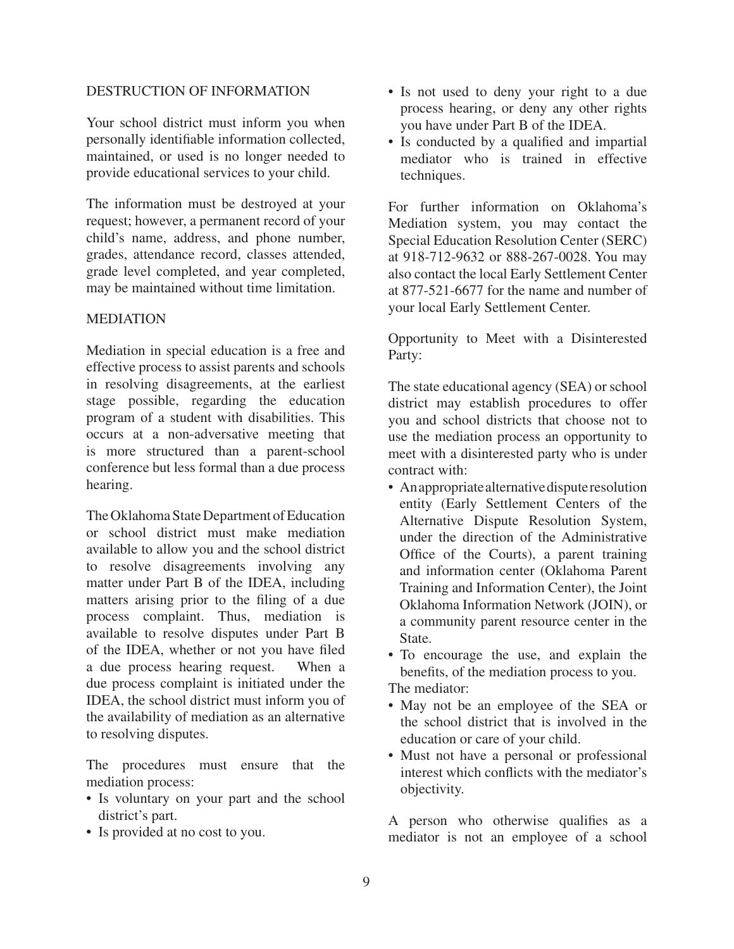#### DESTRUCTION OF INFORMATION

Your school district must inform you when personally identifiable information collected, maintained, or used is no longer needed to provide educational services to your child.

The information must be destroyed at your request; however, a permanent record of your child's name, address, and phone number, grades, attendance record, classes attended, grade level completed, and year completed, may be maintained without time limitation.

#### MEDIATION

Mediation in special education is a free and effective process to assist parents and schools in resolving disagreements, at the earliest stage possible, regarding the education program of a student with disabilities. This occurs at a non-adversative meeting that is more structured than a parent-school conference but less formal than a due process hearing.

The Oklahoma State Department of Education or school district must make mediation available to allow you and the school district to resolve disagreements involving any matter under Part B of the IDEA, including matters arising prior to the filing of a due process complaint. Thus, mediation is available to resolve disputes under Part B of the IDEA, whether or not you have filed a due process hearing request. When a due process complaint is initiated under the IDEA, the school district must inform you of the availability of mediation as an alternative to resolving disputes.

The procedures must ensure that the mediation process:

- Is voluntary on your part and the school district's part.
- Is provided at no cost to you.
- Is not used to deny your right to a due process hearing, or deny any other rights you have under Part B of the IDEA.
- Is conducted by a qualified and impartial mediator who is trained in effective techniques.

For further information on Oklahoma's Mediation system, you may contact the Special Education Resolution Center (SERC) at 918-712-9632 or 888-267-0028. You may also contact the local Early Settlement Center at 877-521-6677 for the name and number of your local Early Settlement Center.

Opportunity to Meet with a Disinterested Party:

The state educational agency (SEA) or school district may establish procedures to offer you and school districts that choose not to use the mediation process an opportunity to meet with a disinterested party who is under contract with:

• An appropriate alternative dispute resolution entity (Early Settlement Centers of the Alternative Dispute Resolution System, under the direction of the Administrative Office of the Courts), a parent training and information center (Oklahoma Parent Training and Information Center), the Joint Oklahoma Information Network (JOIN), or a community parent resource center in the State.

• To encourage the use, and explain the benefits, of the mediation process to you.

The mediator:

- May not be an employee of the SEA or the school district that is involved in the education or care of your child.
- Must not have a personal or professional interest which conflicts with the mediator's objectivity.

A person who otherwise qualifies as a mediator is not an employee of a school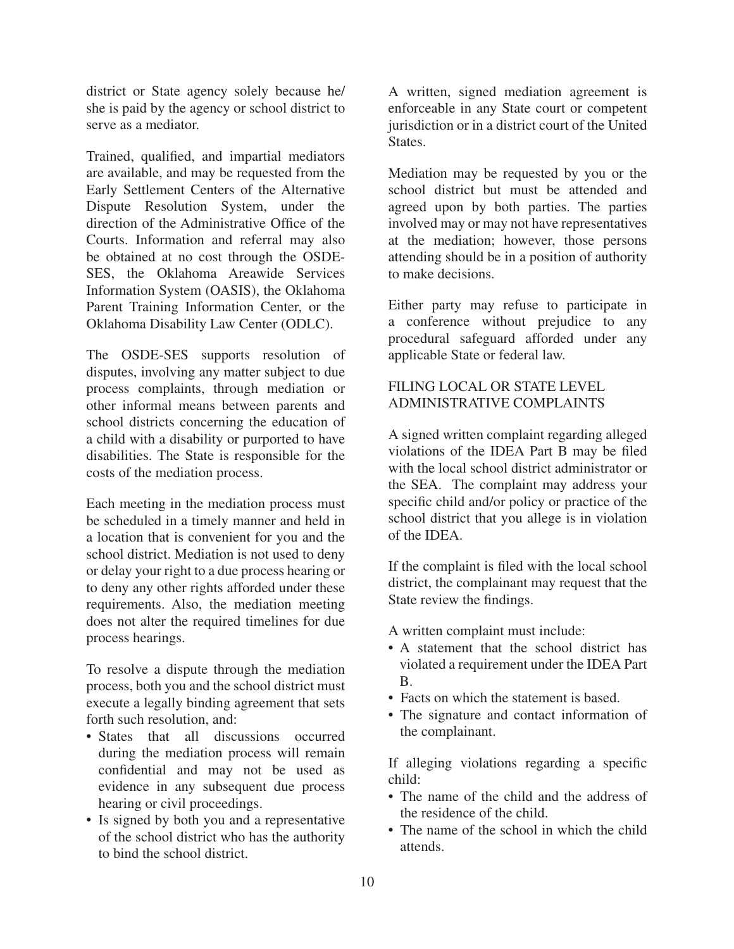district or State agency solely because he/ she is paid by the agency or school district to serve as a mediator.

Trained, qualified, and impartial mediators are available, and may be requested from the Early Settlement Centers of the Alternative Dispute Resolution System, under the direction of the Administrative Office of the Courts. Information and referral may also be obtained at no cost through the OSDE-SES, the Oklahoma Areawide Services Information System (OASIS), the Oklahoma Parent Training Information Center, or the Oklahoma Disability Law Center (ODLC).

The OSDE-SES supports resolution of disputes, involving any matter subject to due process complaints, through mediation or other informal means between parents and school districts concerning the education of a child with a disability or purported to have disabilities. The State is responsible for the costs of the mediation process.

Each meeting in the mediation process must be scheduled in a timely manner and held in a location that is convenient for you and the school district. Mediation is not used to deny or delay your right to a due process hearing or to deny any other rights afforded under these requirements. Also, the mediation meeting does not alter the required timelines for due process hearings.

To resolve a dispute through the mediation process, both you and the school district must execute a legally binding agreement that sets forth such resolution, and:

- States that all discussions occurred during the mediation process will remain confidential and may not be used as evidence in any subsequent due process hearing or civil proceedings.
- Is signed by both you and a representative of the school district who has the authority to bind the school district.

A written, signed mediation agreement is enforceable in any State court or competent jurisdiction or in a district court of the United States.

Mediation may be requested by you or the school district but must be attended and agreed upon by both parties. The parties involved may or may not have representatives at the mediation; however, those persons attending should be in a position of authority to make decisions.

Either party may refuse to participate in a conference without prejudice to any procedural safeguard afforded under any applicable State or federal law.

# FILING LOCAL OR STATE LEVEL ADMINISTRATIVE COMPLAINTS

A signed written complaint regarding alleged violations of the IDEA Part B may be filed with the local school district administrator or the SEA. The complaint may address your specific child and/or policy or practice of the school district that you allege is in violation of the IDEA.

If the complaint is filed with the local school district, the complainant may request that the State review the findings.

A written complaint must include:

- A statement that the school district has violated a requirement under the IDEA Part B.
- Facts on which the statement is based.
- The signature and contact information of the complainant.

If alleging violations regarding a specific child:

- The name of the child and the address of the residence of the child.
- The name of the school in which the child attends.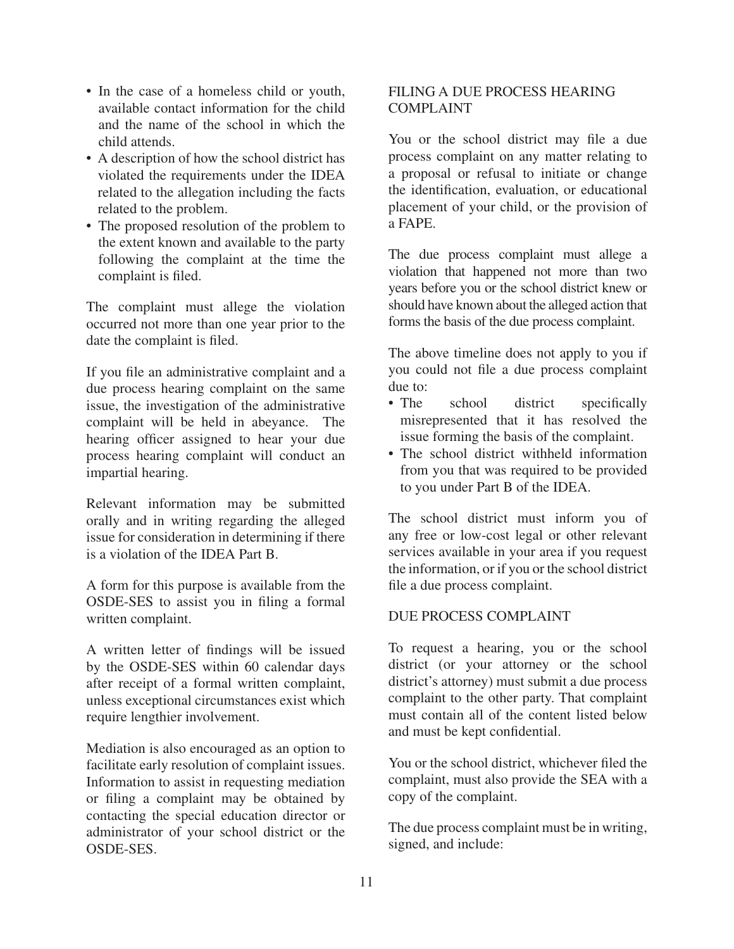- In the case of a homeless child or youth, available contact information for the child and the name of the school in which the child attends.
- A description of how the school district has violated the requirements under the IDEA related to the allegation including the facts related to the problem.
- The proposed resolution of the problem to the extent known and available to the party following the complaint at the time the complaint is filed.

The complaint must allege the violation occurred not more than one year prior to the date the complaint is filed.

If you file an administrative complaint and a due process hearing complaint on the same issue, the investigation of the administrative complaint will be held in abeyance. The hearing officer assigned to hear your due process hearing complaint will conduct an impartial hearing.

Relevant information may be submitted orally and in writing regarding the alleged issue for consideration in determining if there is a violation of the IDEA Part B.

A form for this purpose is available from the OSDE-SES to assist you in filing a formal written complaint.

A written letter of findings will be issued by the OSDE-SES within 60 calendar days after receipt of a formal written complaint, unless exceptional circumstances exist which require lengthier involvement.

Mediation is also encouraged as an option to facilitate early resolution of complaint issues. Information to assist in requesting mediation or filing a complaint may be obtained by contacting the special education director or administrator of your school district or the OSDE-SES.

# FILING A DUE PROCESS HEARING COMPLAINT

You or the school district may file a due process complaint on any matter relating to a proposal or refusal to initiate or change the identification, evaluation, or educational placement of your child, or the provision of a FAPE.

The due process complaint must allege a violation that happened not more than two years before you or the school district knew or should have known about the alleged action that forms the basis of the due process complaint.

The above timeline does not apply to you if you could not file a due process complaint due to:

- The school district specifically misrepresented that it has resolved the issue forming the basis of the complaint.
- The school district withheld information from you that was required to be provided to you under Part B of the IDEA.

The school district must inform you of any free or low-cost legal or other relevant services available in your area if you request the information, or if you or the school district file a due process complaint.

#### DUE PROCESS COMPLAINT

To request a hearing, you or the school district (or your attorney or the school district's attorney) must submit a due process complaint to the other party. That complaint must contain all of the content listed below and must be kept confidential.

You or the school district, whichever filed the complaint, must also provide the SEA with a copy of the complaint.

The due process complaint must be in writing, signed, and include: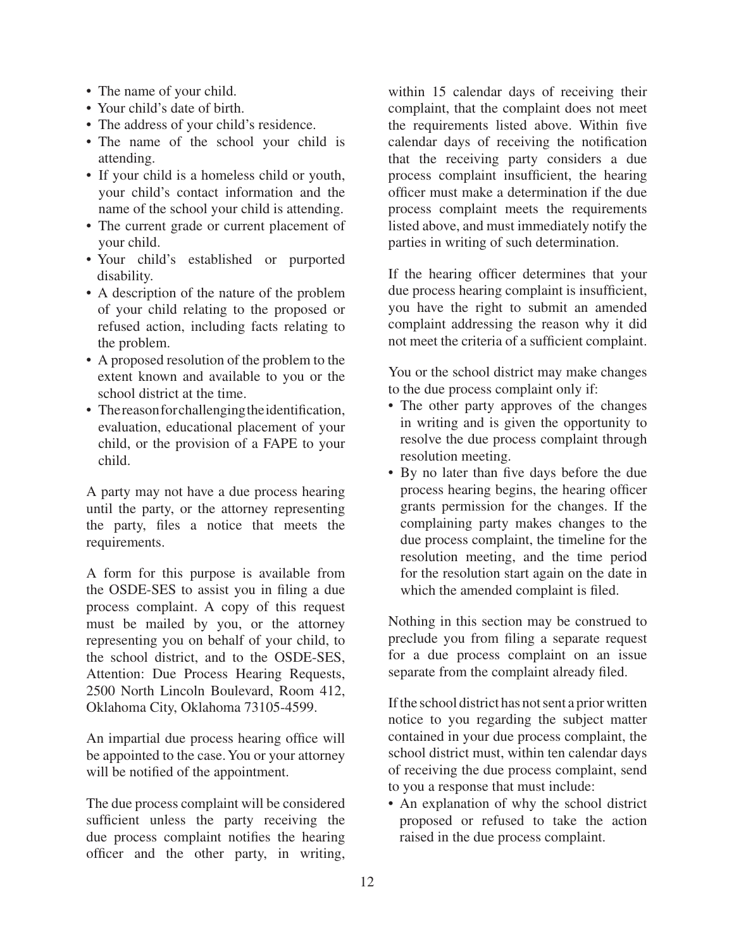- The name of your child.
- Your child's date of birth.
- The address of your child's residence.
- The name of the school your child is attending.
- If your child is a homeless child or youth, your child's contact information and the name of the school your child is attending.
- The current grade or current placement of your child.
- Your child's established or purported disability.
- A description of the nature of the problem of your child relating to the proposed or refused action, including facts relating to the problem.
- A proposed resolution of the problem to the extent known and available to you or the school district at the time.
- The reason for challenging the identification, evaluation, educational placement of your child, or the provision of a FAPE to your child.

A party may not have a due process hearing until the party, or the attorney representing the party, files a notice that meets the requirements.

A form for this purpose is available from the OSDE-SES to assist you in filing a due process complaint. A copy of this request must be mailed by you, or the attorney representing you on behalf of your child, to the school district, and to the OSDE-SES, Attention: Due Process Hearing Requests, 2500 North Lincoln Boulevard, Room 412, Oklahoma City, Oklahoma 73105-4599.

An impartial due process hearing office will be appointed to the case. You or your attorney will be notified of the appointment.

The due process complaint will be considered sufficient unless the party receiving the due process complaint notifies the hearing officer and the other party, in writing,

within 15 calendar days of receiving their complaint, that the complaint does not meet the requirements listed above. Within five calendar days of receiving the notification that the receiving party considers a due process complaint insufficient, the hearing officer must make a determination if the due process complaint meets the requirements listed above, and must immediately notify the parties in writing of such determination.

If the hearing officer determines that your due process hearing complaint is insufficient, you have the right to submit an amended complaint addressing the reason why it did not meet the criteria of a sufficient complaint.

You or the school district may make changes to the due process complaint only if:

- The other party approves of the changes in writing and is given the opportunity to resolve the due process complaint through resolution meeting.
- By no later than five days before the due process hearing begins, the hearing officer grants permission for the changes. If the complaining party makes changes to the due process complaint, the timeline for the resolution meeting, and the time period for the resolution start again on the date in which the amended complaint is filed.

Nothing in this section may be construed to preclude you from filing a separate request for a due process complaint on an issue separate from the complaint already filed.

If the school district has not sent a prior written notice to you regarding the subject matter contained in your due process complaint, the school district must, within ten calendar days of receiving the due process complaint, send to you a response that must include:

• An explanation of why the school district proposed or refused to take the action raised in the due process complaint.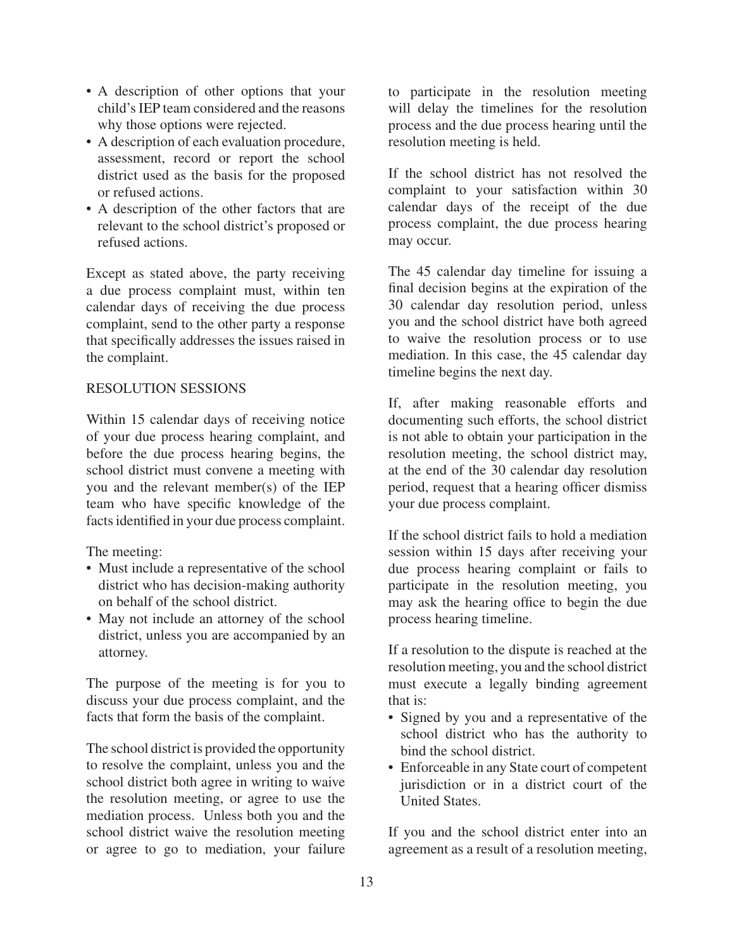- A description of other options that your child's IEP team considered and the reasons why those options were rejected.
- A description of each evaluation procedure, assessment, record or report the school district used as the basis for the proposed or refused actions.
- A description of the other factors that are relevant to the school district's proposed or refused actions.

Except as stated above, the party receiving a due process complaint must, within ten calendar days of receiving the due process complaint, send to the other party a response that specifically addresses the issues raised in the complaint.

#### RESOLUTION SESSIONS

Within 15 calendar days of receiving notice of your due process hearing complaint, and before the due process hearing begins, the school district must convene a meeting with you and the relevant member(s) of the IEP team who have specific knowledge of the facts identified in your due process complaint.

The meeting:

- Must include a representative of the school district who has decision-making authority on behalf of the school district.
- May not include an attorney of the school district, unless you are accompanied by an attorney.

The purpose of the meeting is for you to discuss your due process complaint, and the facts that form the basis of the complaint.

The school district is provided the opportunity to resolve the complaint, unless you and the school district both agree in writing to waive the resolution meeting, or agree to use the mediation process. Unless both you and the school district waive the resolution meeting or agree to go to mediation, your failure

to participate in the resolution meeting will delay the timelines for the resolution process and the due process hearing until the resolution meeting is held.

If the school district has not resolved the complaint to your satisfaction within 30 calendar days of the receipt of the due process complaint, the due process hearing may occur.

The 45 calendar day timeline for issuing a final decision begins at the expiration of the 30 calendar day resolution period, unless you and the school district have both agreed to waive the resolution process or to use mediation. In this case, the 45 calendar day timeline begins the next day.

If, after making reasonable efforts and documenting such efforts, the school district is not able to obtain your participation in the resolution meeting, the school district may, at the end of the 30 calendar day resolution period, request that a hearing officer dismiss your due process complaint.

If the school district fails to hold a mediation session within 15 days after receiving your due process hearing complaint or fails to participate in the resolution meeting, you may ask the hearing office to begin the due process hearing timeline.

If a resolution to the dispute is reached at the resolution meeting, you and the school district must execute a legally binding agreement that is:

- Signed by you and a representative of the school district who has the authority to bind the school district.
- Enforceable in any State court of competent jurisdiction or in a district court of the United States.

If you and the school district enter into an agreement as a result of a resolution meeting,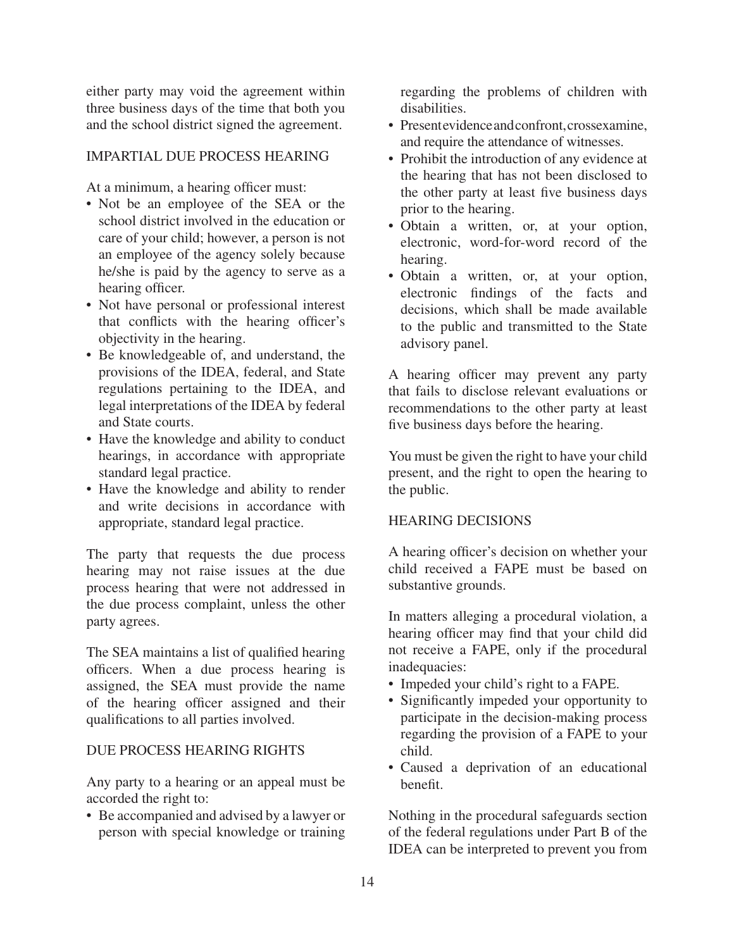either party may void the agreement within three business days of the time that both you and the school district signed the agreement.

### IMPARTIAL DUE PROCESS HEARING

At a minimum, a hearing officer must:

- Not be an employee of the SEA or the school district involved in the education or care of your child; however, a person is not an employee of the agency solely because he/she is paid by the agency to serve as a hearing officer.
- Not have personal or professional interest that conflicts with the hearing officer's objectivity in the hearing.
- Be knowledgeable of, and understand, the provisions of the IDEA, federal, and State regulations pertaining to the IDEA, and legal interpretations of the IDEA by federal and State courts.
- Have the knowledge and ability to conduct hearings, in accordance with appropriate standard legal practice.
- Have the knowledge and ability to render and write decisions in accordance with appropriate, standard legal practice.

The party that requests the due process hearing may not raise issues at the due process hearing that were not addressed in the due process complaint, unless the other party agrees.

The SEA maintains a list of qualified hearing officers. When a due process hearing is assigned, the SEA must provide the name of the hearing officer assigned and their qualifications to all parties involved.

#### DUE PROCESS HEARING RIGHTS

Any party to a hearing or an appeal must be accorded the right to:

• Be accompanied and advised by a lawyer or person with special knowledge or training regarding the problems of children with disabilities.

- Presentevidence and confront, crossexamine, and require the attendance of witnesses.
- Prohibit the introduction of any evidence at the hearing that has not been disclosed to the other party at least five business days prior to the hearing.
- · Obtain a written, or, at your option, electronic, word-for-word record of the hearing.
- Obtain a written, or, at your option, electronic findings of the facts and decisions, which shall be made available to the public and transmitted to the State advisory panel.

A hearing officer may prevent any party that fails to disclose relevant evaluations or recommendations to the other party at least five business days before the hearing.

You must be given the right to have your child present, and the right to open the hearing to the public.

#### HEARING DECISIONS

A hearing officer's decision on whether your child received a FAPE must be based on substantive grounds.

In matters alleging a procedural violation, a hearing officer may find that your child did not receive a FAPE, only if the procedural inadequacies:

- Impeded your child's right to a FAPE.
- Significantly impeded your opportunity to participate in the decision-making process regarding the provision of a FAPE to your child.
- Caused a deprivation of an educational benefit.

Nothing in the procedural safeguards section of the federal regulations under Part B of the IDEA can be interpreted to prevent you from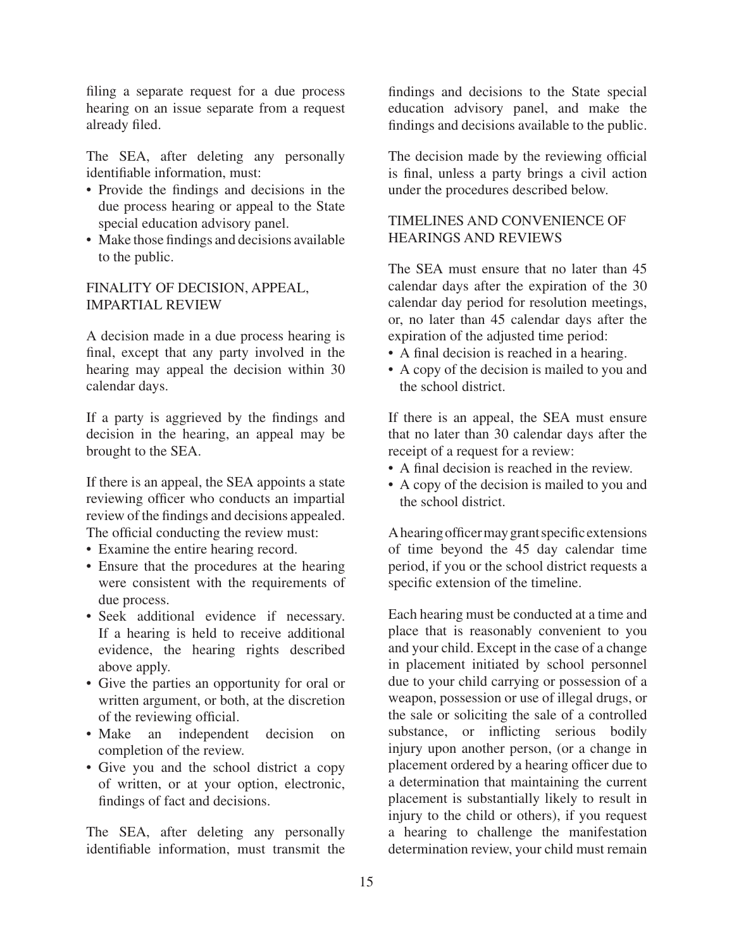filing a separate request for a due process hearing on an issue separate from a request already filed.

The SEA, after deleting any personally identifiable information, must:

- Provide the findings and decisions in the due process hearing or appeal to the State special education advisory panel.
- Make those findings and decisions available to the public.

#### FINALITY OF DECISION, APPEAL, IMPARTIAL REVIEW

A decision made in a due process hearing is final, except that any party involved in the hearing may appeal the decision within 30 calendar days.

If a party is aggrieved by the findings and decision in the hearing, an appeal may be brought to the SEA.

If there is an appeal, the SEA appoints a state reviewing officer who conducts an impartial review of the findings and decisions appealed. The official conducting the review must:

• Examine the entire hearing record.

- Ensure that the procedures at the hearing were consistent with the requirements of due process.
- Seek additional evidence if necessary. If a hearing is held to receive additional evidence, the hearing rights described above apply.
- Give the parties an opportunity for oral or written argument, or both, at the discretion of the reviewing official.
- Make an independent decision on completion of the review.
- Give you and the school district a copy of written, or at your option, electronic, findings of fact and decisions.

The SEA, after deleting any personally identifiable information, must transmit the findings and decisions to the State special education advisory panel, and make the findings and decisions available to the public.

The decision made by the reviewing official is final, unless a party brings a civil action under the procedures described below.

# TIMELINES AND CONVENIENCE OF HEARINGS AND REVIEWS

The SEA must ensure that no later than 45 calendar days after the expiration of the 30 calendar day period for resolution meetings, or, no later than 45 calendar days after the expiration of the adjusted time period:

- A final decision is reached in a hearing.
- A copy of the decision is mailed to you and the school district.

If there is an appeal, the SEA must ensure that no later than 30 calendar days after the receipt of a request for a review:

- A final decision is reached in the review.
- A copy of the decision is mailed to you and the school district.

A hearing officer may grant specific extensions of time beyond the 45 day calendar time period, if you or the school district requests a specific extension of the timeline.

Each hearing must be conducted at a time and place that is reasonably convenient to you and your child. Except in the case of a change in placement initiated by school personnel due to your child carrying or possession of a weapon, possession or use of illegal drugs, or the sale or soliciting the sale of a controlled substance, or inflicting serious bodily injury upon another person, (or a change in placement ordered by a hearing officer due to a determination that maintaining the current placement is substantially likely to result in injury to the child or others), if you request a hearing to challenge the manifestation determination review, your child must remain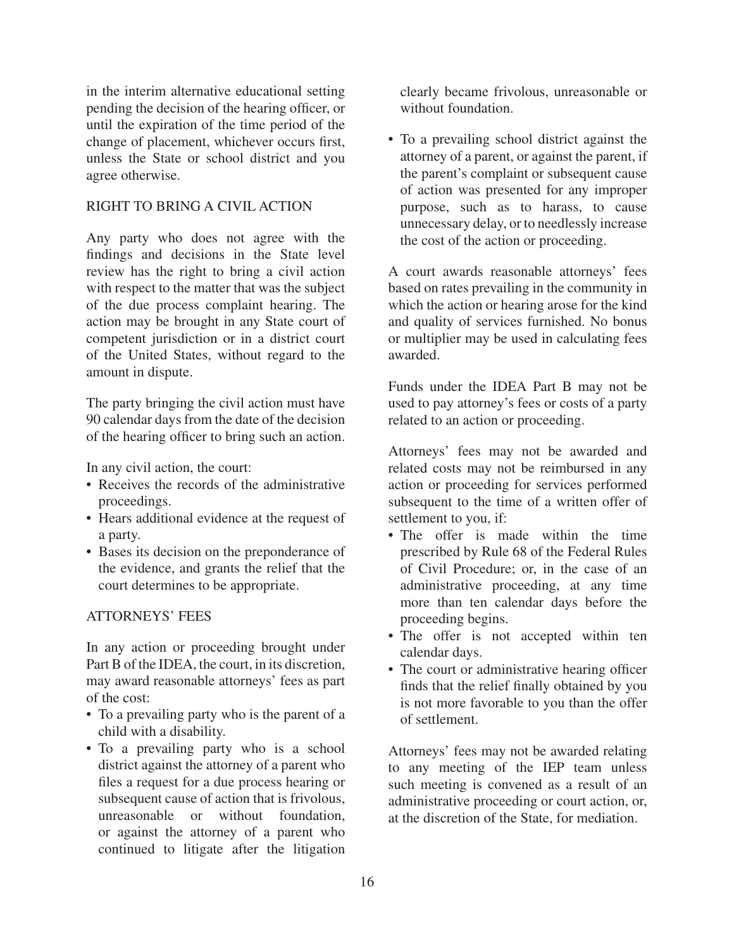in the interim alternative educational setting pending the decision of the hearing officer, or until the expiration of the time period of the change of placement, whichever occurs first, unless the State or school district and you agree otherwise.

### RIGHT TO BRING A CIVIL ACTION

Any party who does not agree with the findings and decisions in the State level review has the right to bring a civil action with respect to the matter that was the subject of the due process complaint hearing. The action may be brought in any State court of competent jurisdiction or in a district court of the United States, without regard to the amount in dispute.

The party bringing the civil action must have 90 calendar days from the date of the decision of the hearing officer to bring such an action.

In any civil action, the court:

- Receives the records of the administrative proceedings.
- Hears additional evidence at the request of a party.
- Bases its decision on the preponderance of the evidence, and grants the relief that the court determines to be appropriate.

#### ATTORNEYS' FEES

In any action or proceeding brought under Part B of the IDEA, the court, in its discretion, may award reasonable attorneys' fees as part of the cost:

- To a prevailing party who is the parent of a child with a disability.
- To a prevailing party who is a school district against the attorney of a parent who files a request for a due process hearing or subsequent cause of action that is frivolous, unreasonable or without foundation, or against the attorney of a parent who continued to litigate after the litigation

clearly became frivolous, unreasonable or without foundation

• To a prevailing school district against the attorney of a parent, or against the parent, if the parent's complaint or subsequent cause of action was presented for any improper purpose, such as to harass, to cause unnecessary delay, or to needlessly increase the cost of the action or proceeding.

A court awards reasonable attorneys' fees based on rates prevailing in the community in which the action or hearing arose for the kind and quality of services furnished. No bonus or multiplier may be used in calculating fees awarded.

Funds under the IDEA Part B may not be used to pay attorney's fees or costs of a party related to an action or proceeding.

Attorneys' fees may not be awarded and related costs may not be reimbursed in any action or proceeding for services performed subsequent to the time of a written offer of settlement to you, if:

- The offer is made within the time prescribed by Rule 68 of the Federal Rules of Civil Procedure; or, in the case of an administrative proceeding, at any time more than ten calendar days before the proceeding begins.
- The offer is not accepted within ten calendar days.
- The court or administrative hearing officer finds that the relief finally obtained by you is not more favorable to you than the offer of settlement.

Attorneys' fees may not be awarded relating to any meeting of the IEP team unless such meeting is convened as a result of an administrative proceeding or court action, or, at the discretion of the State, for mediation.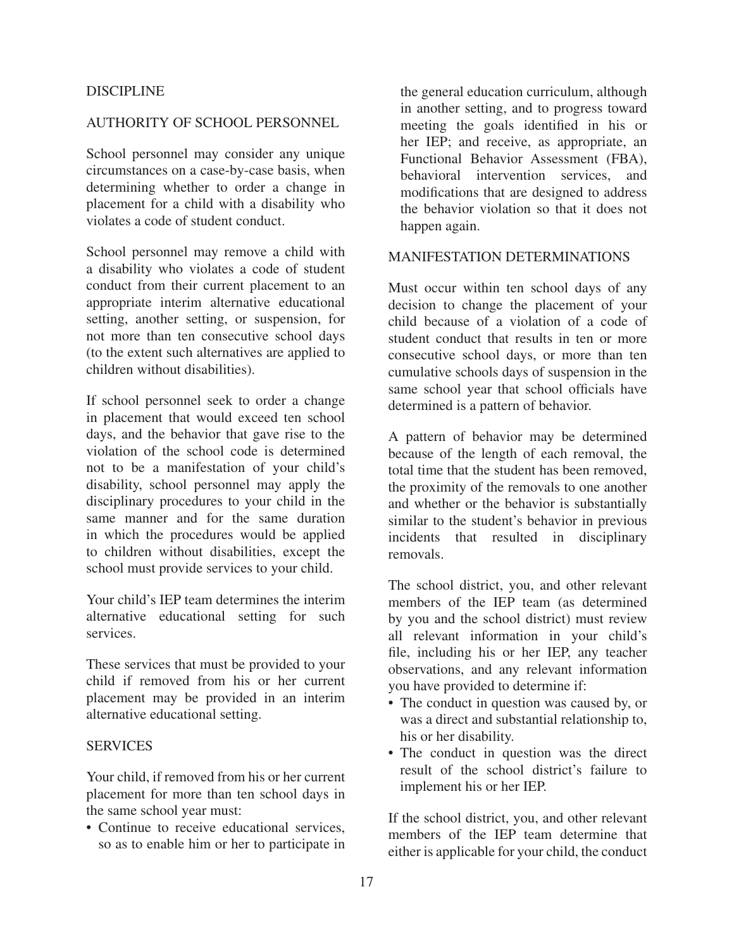#### DISCIPLINE

#### AUTHORITY OF SCHOOL PERSONNEL

School personnel may consider any unique circumstances on a case-by-case basis, when determining whether to order a change in placement for a child with a disability who violates a code of student conduct.

School personnel may remove a child with a disability who violates a code of student conduct from their current placement to an appropriate interim alternative educational setting, another setting, or suspension, for not more than ten consecutive school days (to the extent such alternatives are applied to children without disabilities).

If school personnel seek to order a change in placement that would exceed ten school days, and the behavior that gave rise to the violation of the school code is determined not to be a manifestation of your child's disability, school personnel may apply the disciplinary procedures to your child in the same manner and for the same duration in which the procedures would be applied to children without disabilities, except the school must provide services to your child.

Your child's IEP team determines the interim alternative educational setting for such services.

These services that must be provided to your child if removed from his or her current placement may be provided in an interim alternative educational setting.

#### **SERVICES**

Your child, if removed from his or her current placement for more than ten school days in the same school year must:

• Continue to receive educational services, so as to enable him or her to participate in

the general education curriculum, although in another setting, and to progress toward meeting the goals identified in his or her IEP; and receive, as appropriate, an Functional Behavior Assessment (FBA), behavioral intervention services, and modifications that are designed to address the behavior violation so that it does not happen again.

#### MANIFESTATION DETERMINATIONS

Must occur within ten school days of any decision to change the placement of your child because of a violation of a code of student conduct that results in ten or more consecutive school days, or more than ten cumulative schools days of suspension in the same school year that school officials have determined is a pattern of behavior.

A pattern of behavior may be determined because of the length of each removal, the total time that the student has been removed, the proximity of the removals to one another and whether or the behavior is substantially similar to the student's behavior in previous incidents that resulted in disciplinary removals.

The school district, you, and other relevant members of the IEP team (as determined by you and the school district) must review all relevant information in your child's file, including his or her IEP, any teacher observations, and any relevant information you have provided to determine if:

- The conduct in question was caused by, or was a direct and substantial relationship to, his or her disability.
- The conduct in question was the direct result of the school district's failure to implement his or her IEP.

If the school district, you, and other relevant members of the IEP team determine that either is applicable for your child, the conduct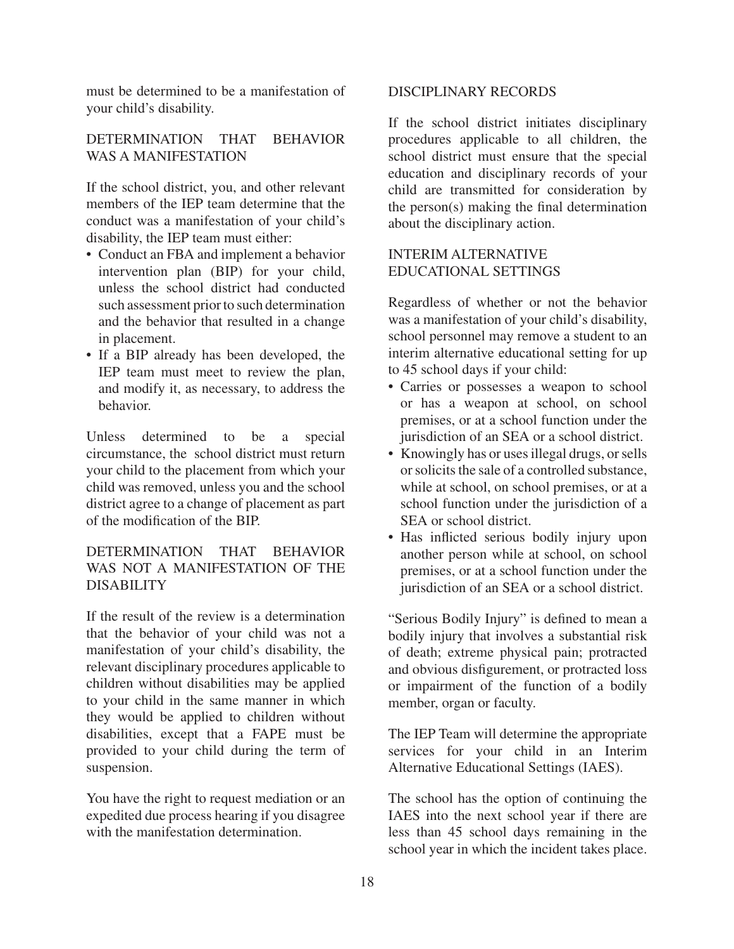must be determined to be a manifestation of your child's disability.

# DETERMINATION THAT BEHAVIOR WAS A MANIFESTATION

If the school district, you, and other relevant members of the IEP team determine that the conduct was a manifestation of your child's disability, the IEP team must either:

- Conduct an FBA and implement a behavior intervention plan (BIP) for your child, unless the school district had conducted such assessment prior to such determination and the behavior that resulted in a change in placement.
- If a BIP already has been developed, the IEP team must meet to review the plan, and modify it, as necessary, to address the behavior.

Unless determined to be a special circumstance, the school district must return your child to the placement from which your child was removed, unless you and the school district agree to a change of placement as part of the modification of the BIP.

### DETERMINATION THAT BEHAVIOR WAS NOT A MANIFESTATION OF THE DISABILITY

If the result of the review is a determination that the behavior of your child was not a manifestation of your child's disability, the relevant disciplinary procedures applicable to children without disabilities may be applied to your child in the same manner in which they would be applied to children without disabilities, except that a FAPE must be provided to your child during the term of suspension.

You have the right to request mediation or an expedited due process hearing if you disagree with the manifestation determination.

### DISCIPLINARY RECORDS

If the school district initiates disciplinary procedures applicable to all children, the school district must ensure that the special education and disciplinary records of your child are transmitted for consideration by the person(s) making the final determination about the disciplinary action.

### INTERIM ALTERNATIVE EDUCATIONAL SETTINGS

Regardless of whether or not the behavior was a manifestation of your child's disability, school personnel may remove a student to an interim alternative educational setting for up to 45 school days if your child:

- Carries or possesses a weapon to school or has a weapon at school, on school premises, or at a school function under the jurisdiction of an SEA or a school district.
- Knowingly has or uses illegal drugs, or sells or solicits the sale of a controlled substance, while at school, on school premises, or at a school function under the jurisdiction of a SEA or school district.
- Has inflicted serious bodily injury upon another person while at school, on school premises, or at a school function under the jurisdiction of an SEA or a school district.

"Serious Bodily Injury" is defined to mean a bodily injury that involves a substantial risk of death; extreme physical pain; protracted and obvious disfigurement, or protracted loss or impairment of the function of a bodily member, organ or faculty.

The IEP Team will determine the appropriate services for your child in an Interim Alternative Educational Settings (IAES).

The school has the option of continuing the IAES into the next school year if there are less than 45 school days remaining in the school year in which the incident takes place.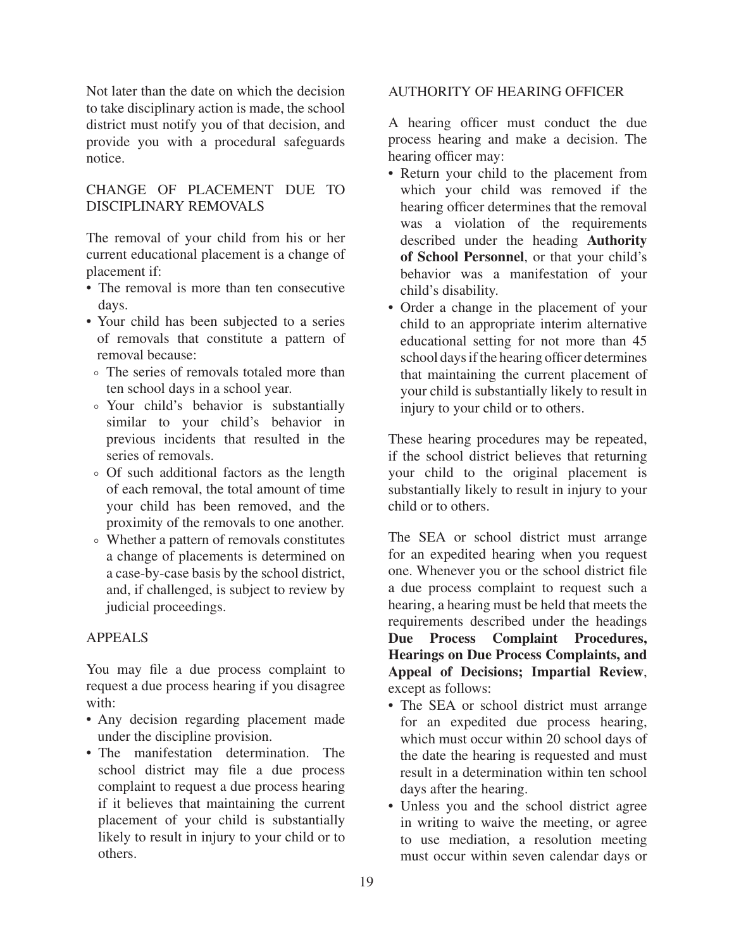Not later than the date on which the decision to take disciplinary action is made, the school district must notify you of that decision, and provide you with a procedural safeguards notice.

# CHANGE OF PLACEMENT DUE TO DISCIPLINARY REMOVALS

The removal of your child from his or her current educational placement is a change of placement if:

- The removal is more than ten consecutive days.
- Your child has been subjected to a series of removals that constitute a pattern of removal because:
- °The series of removals totaled more than ten school days in a school year.
- °Your child's behavior is substantially similar to your child's behavior in previous incidents that resulted in the series of removals.
- °Of such additional factors as the length of each removal, the total amount of time your child has been removed, and the proximity of the removals to one another.
- °Whether a pattern of removals constitutes a change of placements is determined on a case-by-case basis by the school district, and, if challenged, is subject to review by judicial proceedings.

# APPEALS

You may file a due process complaint to request a due process hearing if you disagree with:

- Any decision regarding placement made under the discipline provision.
- The manifestation determination. The school district may file a due process complaint to request a due process hearing if it believes that maintaining the current placement of your child is substantially likely to result in injury to your child or to others.

# AUTHORITY OF HEARING OFFICER

A hearing officer must conduct the due process hearing and make a decision. The hearing officer may:

- Return your child to the placement from which your child was removed if the hearing officer determines that the removal was a violation of the requirements described under the heading **Authority of School Personnel**, or that your child's behavior was a manifestation of your child's disability.
- Order a change in the placement of your child to an appropriate interim alternative educational setting for not more than 45 school days if the hearing officer determines that maintaining the current placement of your child is substantially likely to result in injury to your child or to others.

These hearing procedures may be repeated, if the school district believes that returning your child to the original placement is substantially likely to result in injury to your child or to others.

The SEA or school district must arrange for an expedited hearing when you request one. Whenever you or the school district file a due process complaint to request such a hearing, a hearing must be held that meets the requirements described under the headings **Due Process Complaint Procedures, Hearings on Due Process Complaints, and Appeal of Decisions; Impartial Review**, except as follows:

- The SEA or school district must arrange for an expedited due process hearing, which must occur within 20 school days of the date the hearing is requested and must result in a determination within ten school days after the hearing.
- Unless you and the school district agree in writing to waive the meeting, or agree to use mediation, a resolution meeting must occur within seven calendar days or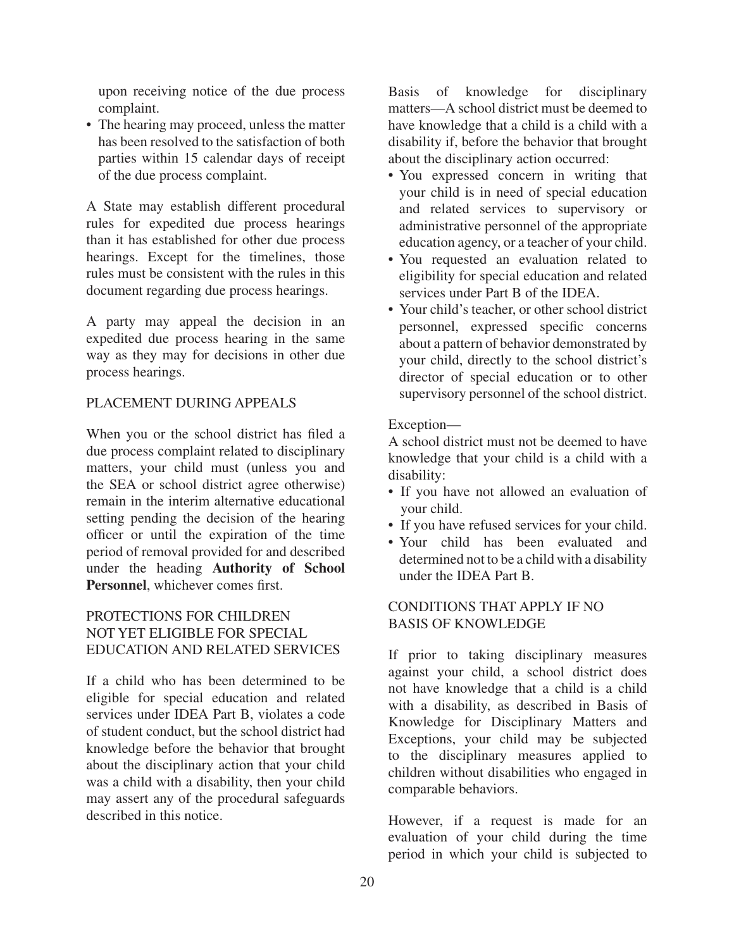upon receiving notice of the due process complaint.

• The hearing may proceed, unless the matter has been resolved to the satisfaction of both parties within 15 calendar days of receipt of the due process complaint.

A State may establish different procedural rules for expedited due process hearings than it has established for other due process hearings. Except for the timelines, those rules must be consistent with the rules in this document regarding due process hearings.

A party may appeal the decision in an expedited due process hearing in the same way as they may for decisions in other due process hearings.

### PLACEMENT DURING APPEALS

When you or the school district has filed a due process complaint related to disciplinary matters, your child must (unless you and the SEA or school district agree otherwise) remain in the interim alternative educational setting pending the decision of the hearing officer or until the expiration of the time period of removal provided for and described under the heading **Authority of School Personnel**, whichever comes first.

## PROTECTIONS FOR CHILDREN NOT YET ELIGIBLE FOR SPECIAL EDUCATION AND RELATED SERVICES

If a child who has been determined to be eligible for special education and related services under IDEA Part B, violates a code of student conduct, but the school district had knowledge before the behavior that brought about the disciplinary action that your child was a child with a disability, then your child may assert any of the procedural safeguards described in this notice.

Basis of knowledge for disciplinary matters—A school district must be deemed to have knowledge that a child is a child with a disability if, before the behavior that brought about the disciplinary action occurred:

- You expressed concern in writing that your child is in need of special education and related services to supervisory or administrative personnel of the appropriate education agency, or a teacher of your child.
- You requested an evaluation related to eligibility for special education and related services under Part B of the IDEA.
- Your child's teacher, or other school district personnel, expressed specific concerns about a pattern of behavior demonstrated by your child, directly to the school district's director of special education or to other supervisory personnel of the school district.

### Exception—

A school district must not be deemed to have knowledge that your child is a child with a disability:

- If you have not allowed an evaluation of your child.
- If you have refused services for your child.
- Your child has been evaluated and determined not to be a child with a disability under the IDEA Part B.

# CONDITIONS THAT APPLY IF NO BASIS OF KNOWLEDGE

If prior to taking disciplinary measures against your child, a school district does not have knowledge that a child is a child with a disability, as described in Basis of Knowledge for Disciplinary Matters and Exceptions, your child may be subjected to the disciplinary measures applied to children without disabilities who engaged in comparable behaviors.

However, if a request is made for an evaluation of your child during the time period in which your child is subjected to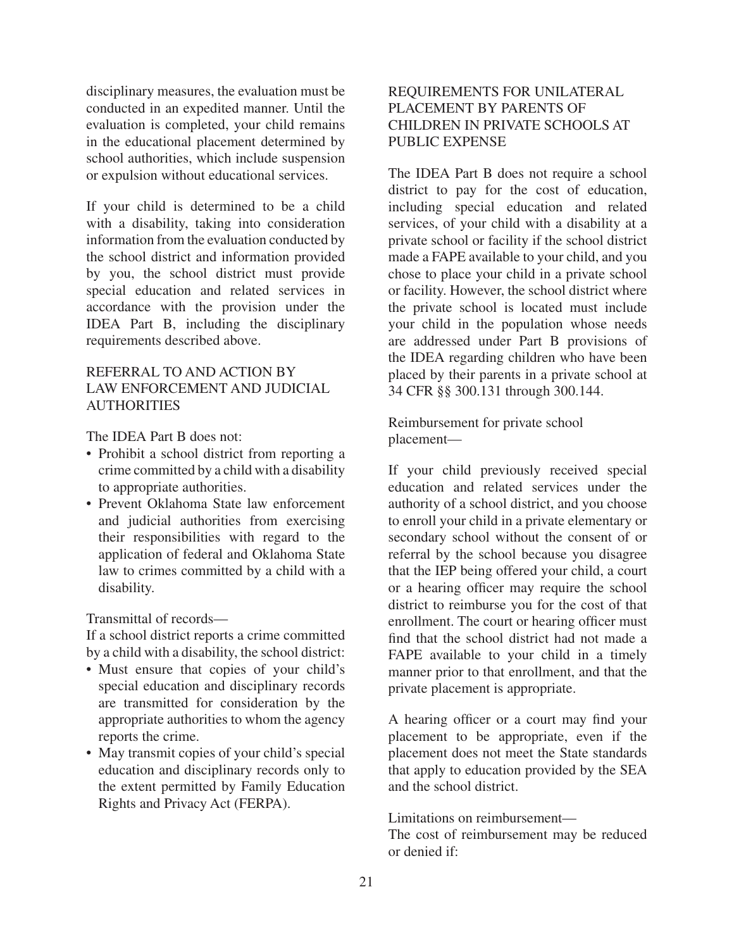disciplinary measures, the evaluation must be conducted in an expedited manner. Until the evaluation is completed, your child remains in the educational placement determined by school authorities, which include suspension or expulsion without educational services.

If your child is determined to be a child with a disability, taking into consideration information from the evaluation conducted by the school district and information provided by you, the school district must provide special education and related services in accordance with the provision under the IDEA Part B, including the disciplinary requirements described above.

### REFERRAL TO AND ACTION BY LAW ENFORCEMENT AND JUDICIAL **AUTHORITIES**

The IDEA Part B does not:

- Prohibit a school district from reporting a crime committed by a child with a disability to appropriate authorities.
- Prevent Oklahoma State law enforcement and judicial authorities from exercising their responsibilities with regard to the application of federal and Oklahoma State law to crimes committed by a child with a disability.

Transmittal of records—

If a school district reports a crime committed by a child with a disability, the school district:

- Must ensure that copies of your child's special education and disciplinary records are transmitted for consideration by the appropriate authorities to whom the agency reports the crime.
- May transmit copies of your child's special education and disciplinary records only to the extent permitted by Family Education Rights and Privacy Act (FERPA).

# REQUIREMENTS FOR UNILATERAL PLACEMENT BY PARENTS OF CHILDREN IN PRIVATE SCHOOLS AT PUBLIC EXPENSE

The IDEA Part B does not require a school district to pay for the cost of education, including special education and related services, of your child with a disability at a private school or facility if the school district made a FAPE available to your child, and you chose to place your child in a private school or facility. However, the school district where the private school is located must include your child in the population whose needs are addressed under Part B provisions of the IDEA regarding children who have been placed by their parents in a private school at 34 CFR §§ 300.131 through 300.144.

Reimbursement for private school placement—

If your child previously received special education and related services under the authority of a school district, and you choose to enroll your child in a private elementary or secondary school without the consent of or referral by the school because you disagree that the IEP being offered your child, a court or a hearing officer may require the school district to reimburse you for the cost of that enrollment. The court or hearing officer must find that the school district had not made a FAPE available to your child in a timely manner prior to that enrollment, and that the private placement is appropriate.

A hearing officer or a court may find your placement to be appropriate, even if the placement does not meet the State standards that apply to education provided by the SEA and the school district.

Limitations on reimbursement—

The cost of reimbursement may be reduced or denied if: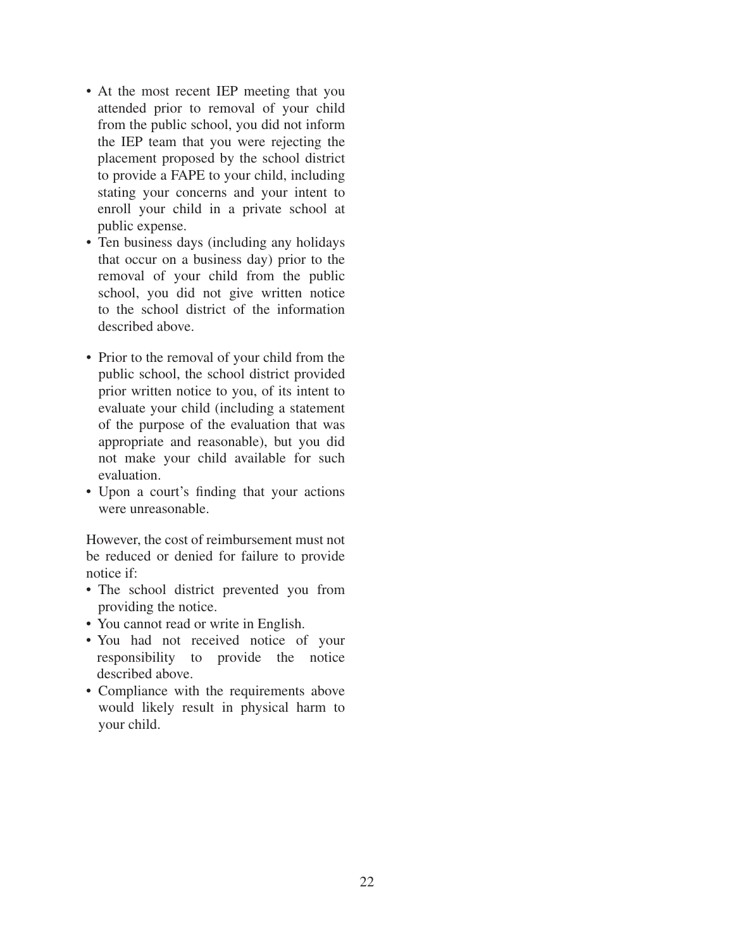- At the most recent IEP meeting that you attended prior to removal of your child from the public school, you did not inform the IEP team that you were rejecting the placement proposed by the school district to provide a FAPE to your child, including stating your concerns and your intent to enroll your child in a private school at public expense.
- Ten business days (including any holidays that occur on a business day) prior to the removal of your child from the public school, you did not give written notice to the school district of the information described above.
- Prior to the removal of your child from the public school, the school district provided prior written notice to you, of its intent to evaluate your child (including a statement of the purpose of the evaluation that was appropriate and reasonable), but you did not make your child available for such evaluation.
- Upon a court's finding that your actions were unreasonable.

However, the cost of reimbursement must not be reduced or denied for failure to provide notice if:

- The school district prevented you from providing the notice.
- You cannot read or write in English.
- You had not received notice of your responsibility to provide the notice described above.
- Compliance with the requirements above would likely result in physical harm to your child.